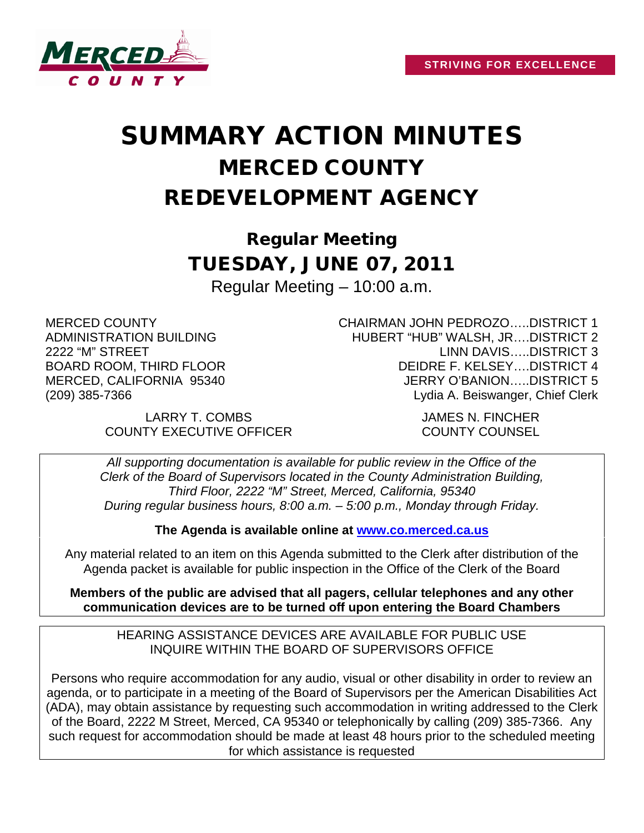

# SUMMARY ACTION MINUTES MERCED COUNTY REDEVELOPMENT AGENCY

Regular Meeting TUESDAY, JUNE 07, 2011 Regular Meeting – 10:00 a.m.

MERCED COUNTY ADMINISTRATION BUILDING 2222 "M" STREET BOARD ROOM, THIRD FLOOR MERCED, CALIFORNIA 95340 (209) 385-7366

> LARRY T. COMBS JAMES N. FINCHER COUNTY EXECUTIVE OFFICER COUNTY COUNSEL

CHAIRMAN JOHN PEDROZO…..DISTRICT 1 HUBERT "HUB" WALSH, JR….DISTRICT 2 LINN DAVIS…..DISTRICT 3 DEIDRE F. KELSEY….DISTRICT 4 JERRY O'BANION…..DISTRICT 5 Lydia A. Beiswanger, Chief Clerk

*All supporting documentation is available for public review in the Office of the Clerk of the Board of Supervisors located in the County Administration Building, Third Floor, 2222 "M" Street, Merced, California, 95340 During regular business hours, 8:00 a.m. – 5:00 p.m., Monday through Friday.*

**The Agenda is available online at [www.co.merced.ca.us](http://www.co.merced.ca.us/)**

Any material related to an item on this Agenda submitted to the Clerk after distribution of the Agenda packet is available for public inspection in the Office of the Clerk of the Board

**Members of the public are advised that all pagers, cellular telephones and any other communication devices are to be turned off upon entering the Board Chambers**

HEARING ASSISTANCE DEVICES ARE AVAILABLE FOR PUBLIC USE INQUIRE WITHIN THE BOARD OF SUPERVISORS OFFICE

Persons who require accommodation for any audio, visual or other disability in order to review an agenda, or to participate in a meeting of the Board of Supervisors per the American Disabilities Act (ADA), may obtain assistance by requesting such accommodation in writing addressed to the Clerk of the Board, 2222 M Street, Merced, CA 95340 or telephonically by calling (209) 385-7366. Any such request for accommodation should be made at least 48 hours prior to the scheduled meeting for which assistance is requested